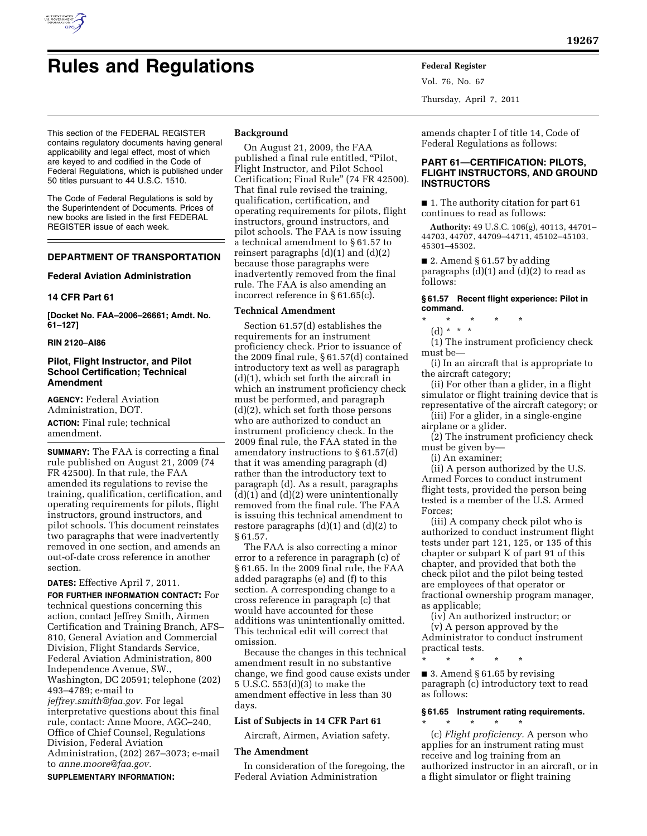

# **Rules and Regulations Federal Register**

contains regulatory documents having general applicability and legal effect, most of which are keyed to and codified in the Code of Federal Regulations, which is published under 50 titles pursuant to 44 U.S.C. 1510.

The Code of Federal Regulations is sold by the Superintendent of Documents. Prices of new books are listed in the first FEDERAL REGISTER issue of each week.

# **DEPARTMENT OF TRANSPORTATION**

### **Federal Aviation Administration**

### **14 CFR Part 61**

**[Docket No. FAA–2006–26661; Amdt. No. 61–127]** 

# **RIN 2120–AI86**

# **Pilot, Flight Instructor, and Pilot School Certification; Technical Amendment**

**AGENCY:** Federal Aviation Administration, DOT. **ACTION:** Final rule; technical amendment.

**SUMMARY:** The FAA is correcting a final rule published on August 21, 2009 (74 FR 42500). In that rule, the FAA amended its regulations to revise the training, qualification, certification, and operating requirements for pilots, flight instructors, ground instructors, and pilot schools. This document reinstates two paragraphs that were inadvertently removed in one section, and amends an out-of-date cross reference in another section.

### **DATES:** Effective April 7, 2011.

**FOR FURTHER INFORMATION CONTACT:** For technical questions concerning this action, contact Jeffrey Smith, Airmen Certification and Training Branch, AFS– 810, General Aviation and Commercial Division, Flight Standards Service, Federal Aviation Administration, 800 Independence Avenue, SW., Washington, DC 20591; telephone (202) 493–4789; e-mail to *[jeffrey.smith@faa.gov.](mailto:jeffrey.smith@faa.gov)* For legal interpretative questions about this final rule, contact: Anne Moore, AGC–240, Office of Chief Counsel, Regulations Division, Federal Aviation Administration, (202) 267–3073; e-mail to *[anne.moore@faa.gov.](mailto:anne.moore@faa.gov)* 

### **SUPPLEMENTARY INFORMATION:**

### **Background**

On August 21, 2009, the FAA published a final rule entitled, ''Pilot, Flight Instructor, and Pilot School Certification; Final Rule'' (74 FR 42500). That final rule revised the training, qualification, certification, and operating requirements for pilots, flight instructors, ground instructors, and pilot schools. The FAA is now issuing a technical amendment to § 61.57 to reinsert paragraphs  $(d)(1)$  and  $(d)(2)$ because those paragraphs were inadvertently removed from the final rule. The FAA is also amending an incorrect reference in § 61.65(c).

### **Technical Amendment**

Section 61.57(d) establishes the requirements for an instrument proficiency check. Prior to issuance of the 2009 final rule, § 61.57(d) contained introductory text as well as paragraph (d)(1), which set forth the aircraft in which an instrument proficiency check must be performed, and paragraph (d)(2), which set forth those persons who are authorized to conduct an instrument proficiency check. In the 2009 final rule, the FAA stated in the amendatory instructions to § 61.57(d) that it was amending paragraph (d) rather than the introductory text to paragraph (d). As a result, paragraphs  $(d)(1)$  and  $(d)(2)$  were unintentionally removed from the final rule. The FAA is issuing this technical amendment to restore paragraphs (d)(1) and (d)(2) to § 61.57.

The FAA is also correcting a minor error to a reference in paragraph (c) of § 61.65. In the 2009 final rule, the FAA added paragraphs (e) and (f) to this section. A corresponding change to a cross reference in paragraph (c) that would have accounted for these additions was unintentionally omitted. This technical edit will correct that omission.

Because the changes in this technical amendment result in no substantive change, we find good cause exists under 5 U.S.C. 553(d)(3) to make the amendment effective in less than 30 days.

### **List of Subjects in 14 CFR Part 61**

Aircraft, Airmen, Aviation safety.

### **The Amendment**

In consideration of the foregoing, the Federal Aviation Administration

Vol. 76, No. 67 Thursday, April 7, 2011

amends chapter I of title 14, Code of Federal Regulations as follows:

# **PART 61—CERTIFICATION: PILOTS, FLIGHT INSTRUCTORS, AND GROUND INSTRUCTORS**

■ 1. The authority citation for part 61 continues to read as follows:

**Authority:** 49 U.S.C. 106(g), 40113, 44701– 44703, 44707, 44709–44711, 45102–45103, 45301–45302.

 $\blacksquare$  2. Amend § 61.57 by adding paragraphs  $(d)(1)$  and  $(d)(2)$  to read as follows:

## **§ 61.57 Recent flight experience: Pilot in command.**

- \* \* \* \* \*
	- (d) \* \* \*

(1) The instrument proficiency check must be—

(i) In an aircraft that is appropriate to the aircraft category;

(ii) For other than a glider, in a flight simulator or flight training device that is representative of the aircraft category; or

(iii) For a glider, in a single-engine airplane or a glider.

(2) The instrument proficiency check must be given by—

(i) An examiner;

(ii) A person authorized by the U.S. Armed Forces to conduct instrument flight tests, provided the person being tested is a member of the U.S. Armed Forces;

(iii) A company check pilot who is authorized to conduct instrument flight tests under part 121, 125, or 135 of this chapter or subpart K of part 91 of this chapter, and provided that both the check pilot and the pilot being tested are employees of that operator or fractional ownership program manager, as applicable;

(iv) An authorized instructor; or (v) A person approved by the Administrator to conduct instrument practical tests.

\* \* \* \* \*

■ 3. Amend § 61.65 by revising paragraph (c) introductory text to read as follows:

# **§ 61.65 Instrument rating requirements.**

\* \* \* \* \* (c) *Flight proficiency.* A person who applies for an instrument rating must receive and log training from an authorized instructor in an aircraft, or in a flight simulator or flight training